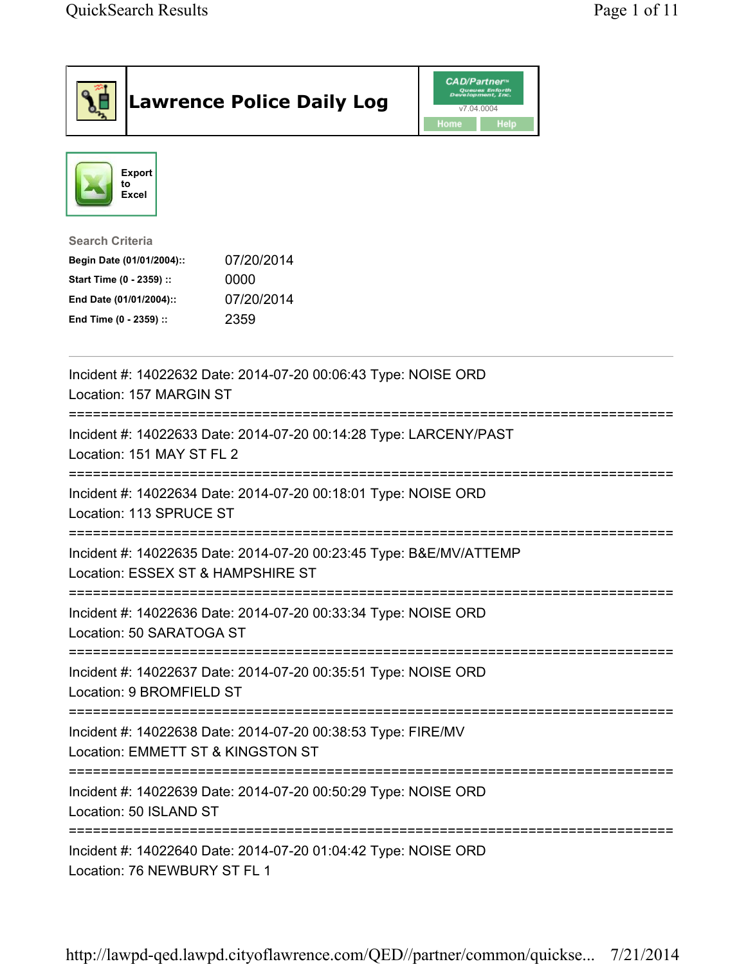| <b>Lawrence Police Daily Log</b>                                                                                                                                                 | <b>CAD/Partner</b> "<br>Queues Enforth<br>Development, Inc.<br>v7.04.0004<br>Home<br><b>Help</b> |  |
|----------------------------------------------------------------------------------------------------------------------------------------------------------------------------------|--------------------------------------------------------------------------------------------------|--|
| Export<br>to<br>Excel                                                                                                                                                            |                                                                                                  |  |
| <b>Search Criteria</b><br>07/20/2014<br>Begin Date (01/01/2004)::<br>Start Time (0 - 2359) ::<br>0000<br>07/20/2014<br>End Date (01/01/2004)::<br>2359<br>End Time (0 - 2359) :: |                                                                                                  |  |
| Incident #: 14022632 Date: 2014-07-20 00:06:43 Type: NOISE ORD<br>Location: 157 MARGIN ST                                                                                        |                                                                                                  |  |
| Incident #: 14022633 Date: 2014-07-20 00:14:28 Type: LARCENY/PAST<br>Location: 151 MAY ST FL 2                                                                                   |                                                                                                  |  |
| Incident #: 14022634 Date: 2014-07-20 00:18:01 Type: NOISE ORD<br>Location: 113 SPRUCE ST                                                                                        |                                                                                                  |  |
| Incident #: 14022635 Date: 2014-07-20 00:23:45 Type: B&E/MV/ATTEMP<br>Location: ESSEX ST & HAMPSHIRE ST                                                                          |                                                                                                  |  |
| Incident #: 14022636 Date: 2014-07-20 00:33:34 Type: NOISE ORD<br>Location: 50 SARATOGA ST                                                                                       |                                                                                                  |  |
| Incident #: 14022637 Date: 2014-07-20 00:35:51 Type: NOISE ORD<br>Location: 9 BROMFIELD ST                                                                                       |                                                                                                  |  |
| Incident #: 14022638 Date: 2014-07-20 00:38:53 Type: FIRE/MV<br>Location: EMMETT ST & KINGSTON ST                                                                                |                                                                                                  |  |
| Incident #: 14022639 Date: 2014-07-20 00:50:29 Type: NOISE ORD<br>Location: 50 ISLAND ST                                                                                         |                                                                                                  |  |
| :==================================<br>Incident #: 14022640 Date: 2014-07-20 01:04:42 Type: NOISE ORD<br>Location: 76 NEWBURY ST FL 1                                            | ============                                                                                     |  |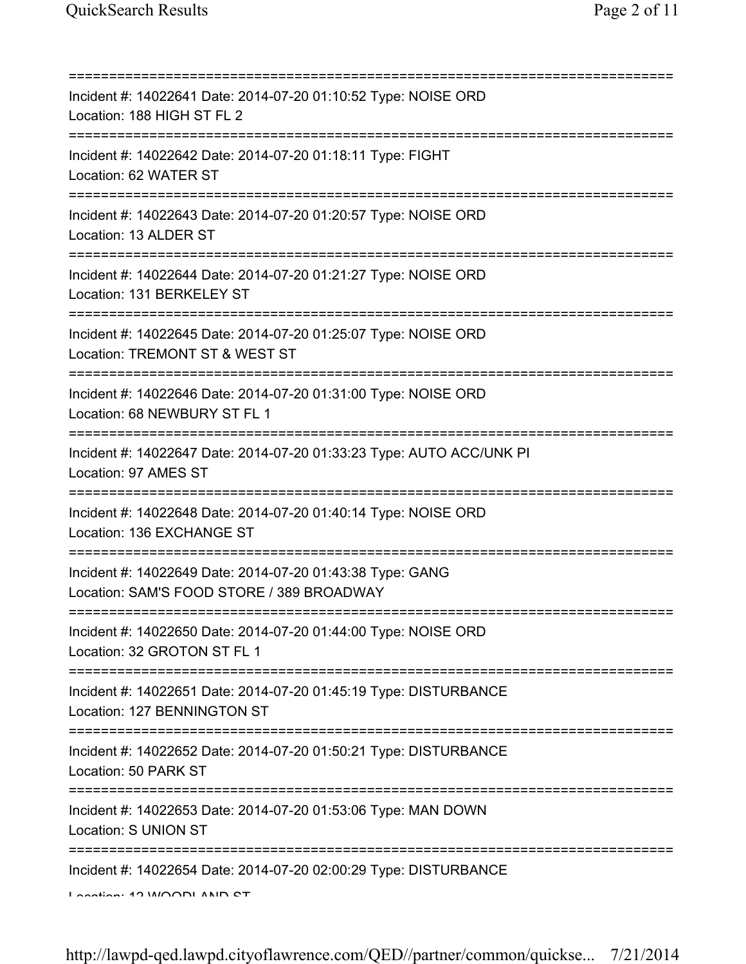| Incident #: 14022641 Date: 2014-07-20 01:10:52 Type: NOISE ORD<br>Location: 188 HIGH ST FL 2                                     |
|----------------------------------------------------------------------------------------------------------------------------------|
| Incident #: 14022642 Date: 2014-07-20 01:18:11 Type: FIGHT<br>Location: 62 WATER ST                                              |
| Incident #: 14022643 Date: 2014-07-20 01:20:57 Type: NOISE ORD<br>Location: 13 ALDER ST<br>================================      |
| Incident #: 14022644 Date: 2014-07-20 01:21:27 Type: NOISE ORD<br>Location: 131 BERKELEY ST                                      |
| Incident #: 14022645 Date: 2014-07-20 01:25:07 Type: NOISE ORD<br>Location: TREMONT ST & WEST ST                                 |
| Incident #: 14022646 Date: 2014-07-20 01:31:00 Type: NOISE ORD<br>Location: 68 NEWBURY ST FL 1                                   |
| Incident #: 14022647 Date: 2014-07-20 01:33:23 Type: AUTO ACC/UNK PI<br>Location: 97 AMES ST                                     |
| Incident #: 14022648 Date: 2014-07-20 01:40:14 Type: NOISE ORD<br>Location: 136 EXCHANGE ST                                      |
| Incident #: 14022649 Date: 2014-07-20 01:43:38 Type: GANG<br>Location: SAM'S FOOD STORE / 389 BROADWAY                           |
| Incident #: 14022650 Date: 2014-07-20 01:44:00 Type: NOISE ORD<br>Location: 32 GROTON ST FL 1                                    |
| Incident #: 14022651 Date: 2014-07-20 01:45:19 Type: DISTURBANCE<br>Location: 127 BENNINGTON ST                                  |
| :===================================<br>Incident #: 14022652 Date: 2014-07-20 01:50:21 Type: DISTURBANCE<br>Location: 50 PARK ST |
| Incident #: 14022653 Date: 2014-07-20 01:53:06 Type: MAN DOWN<br>Location: S UNION ST                                            |
| Incident #: 14022654 Date: 2014-07-20 02:00:29 Type: DISTURBANCE<br>In                                                           |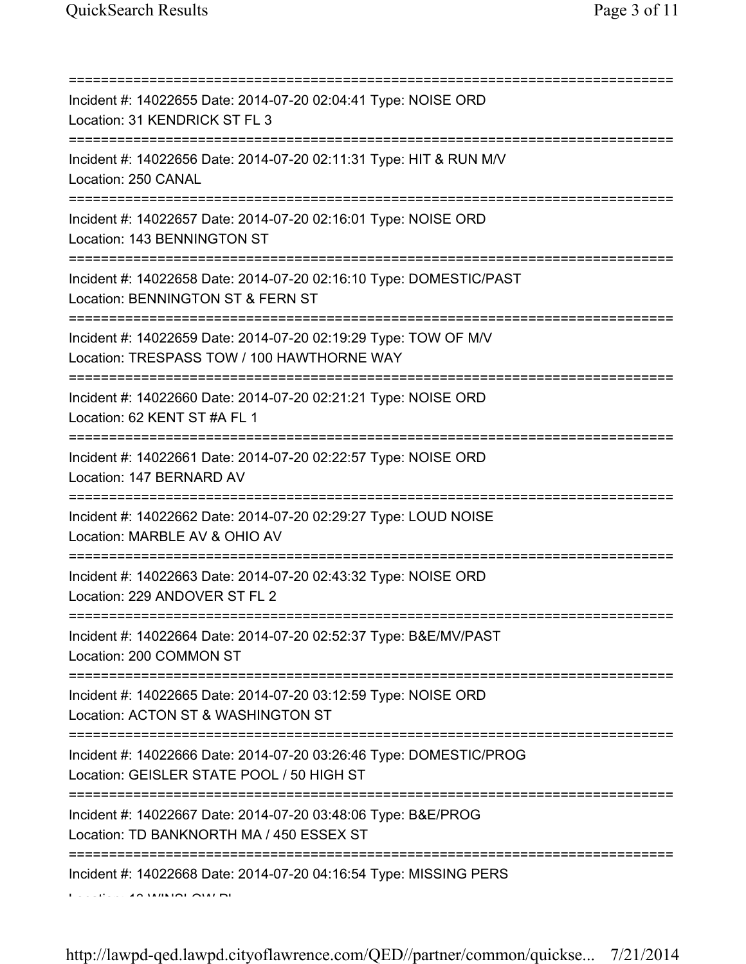| Incident #: 14022655 Date: 2014-07-20 02:04:41 Type: NOISE ORD<br>Location: 31 KENDRICK ST FL 3                                                 |
|-------------------------------------------------------------------------------------------------------------------------------------------------|
| Incident #: 14022656 Date: 2014-07-20 02:11:31 Type: HIT & RUN M/V<br>Location: 250 CANAL                                                       |
| Incident #: 14022657 Date: 2014-07-20 02:16:01 Type: NOISE ORD<br>Location: 143 BENNINGTON ST<br>================================               |
| Incident #: 14022658 Date: 2014-07-20 02:16:10 Type: DOMESTIC/PAST<br>Location: BENNINGTON ST & FERN ST<br>;=================================== |
| Incident #: 14022659 Date: 2014-07-20 02:19:29 Type: TOW OF M/V<br>Location: TRESPASS TOW / 100 HAWTHORNE WAY                                   |
| Incident #: 14022660 Date: 2014-07-20 02:21:21 Type: NOISE ORD<br>Location: 62 KENT ST #A FL 1                                                  |
| Incident #: 14022661 Date: 2014-07-20 02:22:57 Type: NOISE ORD<br>Location: 147 BERNARD AV                                                      |
| Incident #: 14022662 Date: 2014-07-20 02:29:27 Type: LOUD NOISE<br>Location: MARBLE AV & OHIO AV                                                |
| Incident #: 14022663 Date: 2014-07-20 02:43:32 Type: NOISE ORD<br>Location: 229 ANDOVER ST FL 2                                                 |
| Incident #: 14022664 Date: 2014-07-20 02:52:37 Type: B&E/MV/PAST<br>Location: 200 COMMON ST                                                     |
| Incident #: 14022665 Date: 2014-07-20 03:12:59 Type: NOISE ORD<br>Location: ACTON ST & WASHINGTON ST                                            |
| Incident #: 14022666 Date: 2014-07-20 03:26:46 Type: DOMESTIC/PROG<br>Location: GEISLER STATE POOL / 50 HIGH ST                                 |
| Incident #: 14022667 Date: 2014-07-20 03:48:06 Type: B&E/PROG<br>Location: TD BANKNORTH MA / 450 ESSEX ST                                       |
| Incident #: 14022668 Date: 2014-07-20 04:16:54 Type: MISSING PERS                                                                               |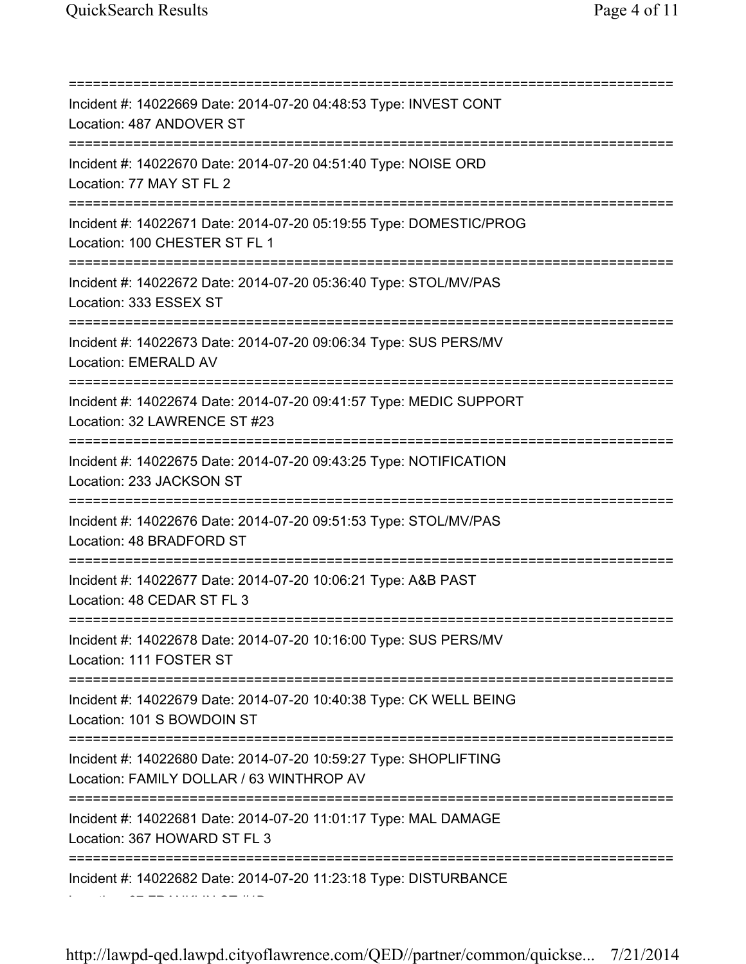Location: 67 FRANKLIN ST #1B

=========================================================================== Incident #: 14022669 Date: 2014-07-20 04:48:53 Type: INVEST CONT Location: 487 ANDOVER ST =========================================================================== Incident #: 14022670 Date: 2014-07-20 04:51:40 Type: NOISE ORD Location: 77 MAY ST FL 2 =========================================================================== Incident #: 14022671 Date: 2014-07-20 05:19:55 Type: DOMESTIC/PROG Location: 100 CHESTER ST FL 1 =========================================================================== Incident #: 14022672 Date: 2014-07-20 05:36:40 Type: STOL/MV/PAS Location: 333 ESSEX ST =========================================================================== Incident #: 14022673 Date: 2014-07-20 09:06:34 Type: SUS PERS/MV Location: EMERALD AV =========================================================================== Incident #: 14022674 Date: 2014-07-20 09:41:57 Type: MEDIC SUPPORT Location: 32 LAWRENCE ST #23 =========================================================================== Incident #: 14022675 Date: 2014-07-20 09:43:25 Type: NOTIFICATION Location: 233 JACKSON ST =========================================================================== Incident #: 14022676 Date: 2014-07-20 09:51:53 Type: STOL/MV/PAS Location: 48 BRADFORD ST =========================================================================== Incident #: 14022677 Date: 2014-07-20 10:06:21 Type: A&B PAST Location: 48 CEDAR ST FL 3 =========================================================================== Incident #: 14022678 Date: 2014-07-20 10:16:00 Type: SUS PERS/MV Location: 111 FOSTER ST =========================================================================== Incident #: 14022679 Date: 2014-07-20 10:40:38 Type: CK WELL BEING Location: 101 S BOWDOIN ST =========================================================================== Incident #: 14022680 Date: 2014-07-20 10:59:27 Type: SHOPLIFTING Location: FAMILY DOLLAR / 63 WINTHROP AV =========================================================================== Incident #: 14022681 Date: 2014-07-20 11:01:17 Type: MAL DAMAGE Location: 367 HOWARD ST FL 3 =========================================================================== Incident #: 14022682 Date: 2014-07-20 11:23:18 Type: DISTURBANCE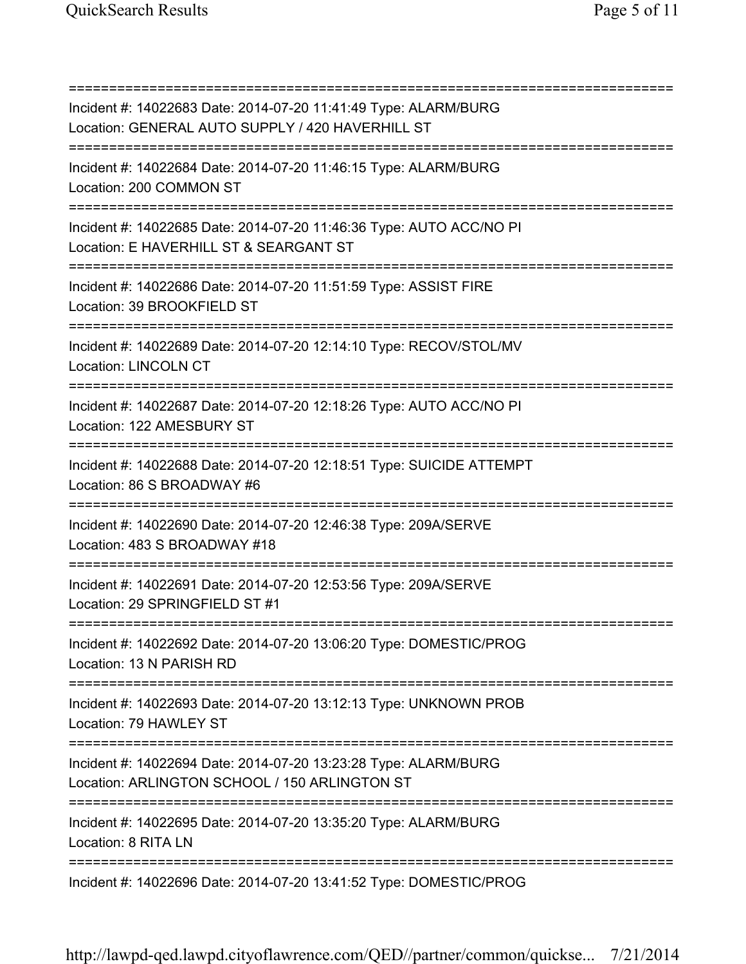=========================================================================== Incident #: 14022683 Date: 2014-07-20 11:41:49 Type: ALARM/BURG Location: GENERAL AUTO SUPPLY / 420 HAVERHILL ST =========================================================================== Incident #: 14022684 Date: 2014-07-20 11:46:15 Type: ALARM/BURG Location: 200 COMMON ST =========================================================================== Incident #: 14022685 Date: 2014-07-20 11:46:36 Type: AUTO ACC/NO PI Location: E HAVERHILL ST & SEARGANT ST =========================================================================== Incident #: 14022686 Date: 2014-07-20 11:51:59 Type: ASSIST FIRE Location: 39 BROOKFIELD ST =========================================================================== Incident #: 14022689 Date: 2014-07-20 12:14:10 Type: RECOV/STOL/MV Location: LINCOLN CT =========================================================================== Incident #: 14022687 Date: 2014-07-20 12:18:26 Type: AUTO ACC/NO PI Location: 122 AMESBURY ST =========================================================================== Incident #: 14022688 Date: 2014-07-20 12:18:51 Type: SUICIDE ATTEMPT Location: 86 S BROADWAY #6 =========================================================================== Incident #: 14022690 Date: 2014-07-20 12:46:38 Type: 209A/SERVE Location: 483 S BROADWAY #18 =========================================================================== Incident #: 14022691 Date: 2014-07-20 12:53:56 Type: 209A/SERVE Location: 29 SPRINGFIELD ST #1 =========================================================================== Incident #: 14022692 Date: 2014-07-20 13:06:20 Type: DOMESTIC/PROG Location: 13 N PARISH RD =========================================================================== Incident #: 14022693 Date: 2014-07-20 13:12:13 Type: UNKNOWN PROB Location: 79 HAWLEY ST =========================================================================== Incident #: 14022694 Date: 2014-07-20 13:23:28 Type: ALARM/BURG Location: ARLINGTON SCHOOL / 150 ARLINGTON ST =========================================================================== Incident #: 14022695 Date: 2014-07-20 13:35:20 Type: ALARM/BURG Location: 8 RITA LN =========================================================================== Incident #: 14022696 Date: 2014-07-20 13:41:52 Type: DOMESTIC/PROG

http://lawpd-qed.lawpd.cityoflawrence.com/QED//partner/common/quickse... 7/21/2014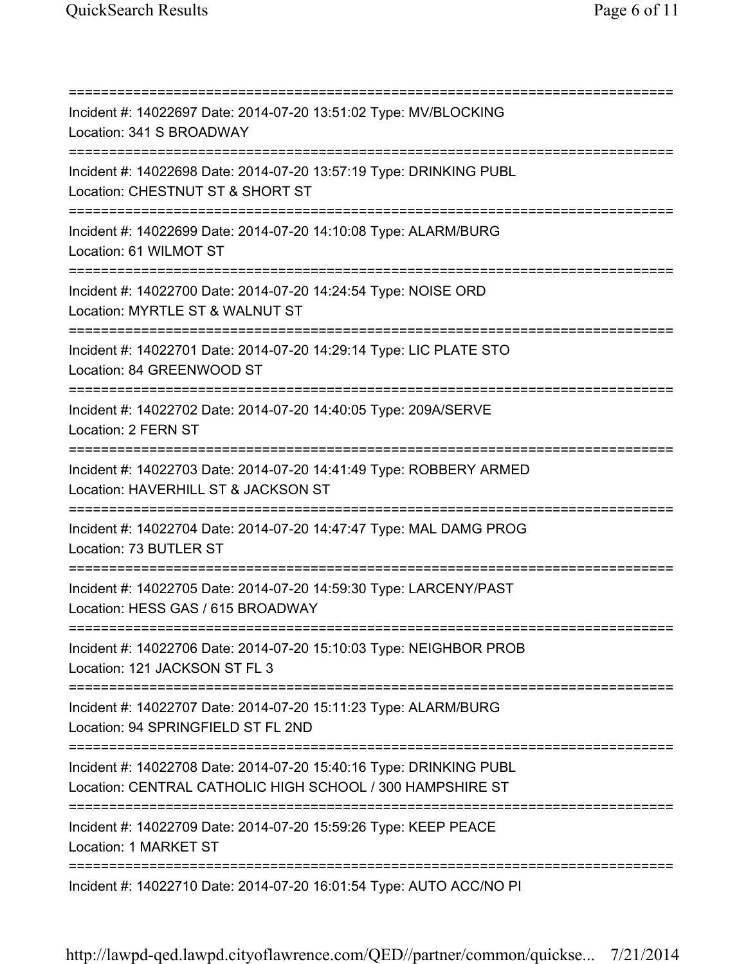=========================================================================== Incident #: 14022697 Date: 2014-07-20 13:51:02 Type: MV/BLOCKING Location: 341 S BROADWAY =========================================================================== Incident #: 14022698 Date: 2014-07-20 13:57:19 Type: DRINKING PUBL Location: CHESTNUT ST & SHORT ST =========================================================================== Incident #: 14022699 Date: 2014-07-20 14:10:08 Type: ALARM/BURG Location: 61 WILMOT ST =========================================================================== Incident #: 14022700 Date: 2014-07-20 14:24:54 Type: NOISE ORD Location: MYRTLE ST & WALNUT ST =========================================================================== Incident #: 14022701 Date: 2014-07-20 14:29:14 Type: LIC PLATE STO Location: 84 GREENWOOD ST =========================================================================== Incident #: 14022702 Date: 2014-07-20 14:40:05 Type: 209A/SERVE Location: 2 FERN ST =========================================================================== Incident #: 14022703 Date: 2014-07-20 14:41:49 Type: ROBBERY ARMED Location: HAVERHILL ST & JACKSON ST =========================================================================== Incident #: 14022704 Date: 2014-07-20 14:47:47 Type: MAL DAMG PROG Location: 73 BUTLER ST =========================================================================== Incident #: 14022705 Date: 2014-07-20 14:59:30 Type: LARCENY/PAST Location: HESS GAS / 615 BROADWAY =========================================================================== Incident #: 14022706 Date: 2014-07-20 15:10:03 Type: NEIGHBOR PROB Location: 121 JACKSON ST FL 3 =========================================================================== Incident #: 14022707 Date: 2014-07-20 15:11:23 Type: ALARM/BURG Location: 94 SPRINGFIELD ST FL 2ND =========================================================================== Incident #: 14022708 Date: 2014-07-20 15:40:16 Type: DRINKING PUBL Location: CENTRAL CATHOLIC HIGH SCHOOL / 300 HAMPSHIRE ST =========================================================================== Incident #: 14022709 Date: 2014-07-20 15:59:26 Type: KEEP PEACE Location: 1 MARKET ST =========================================================================== Incident #: 14022710 Date: 2014-07-20 16:01:54 Type: AUTO ACC/NO PI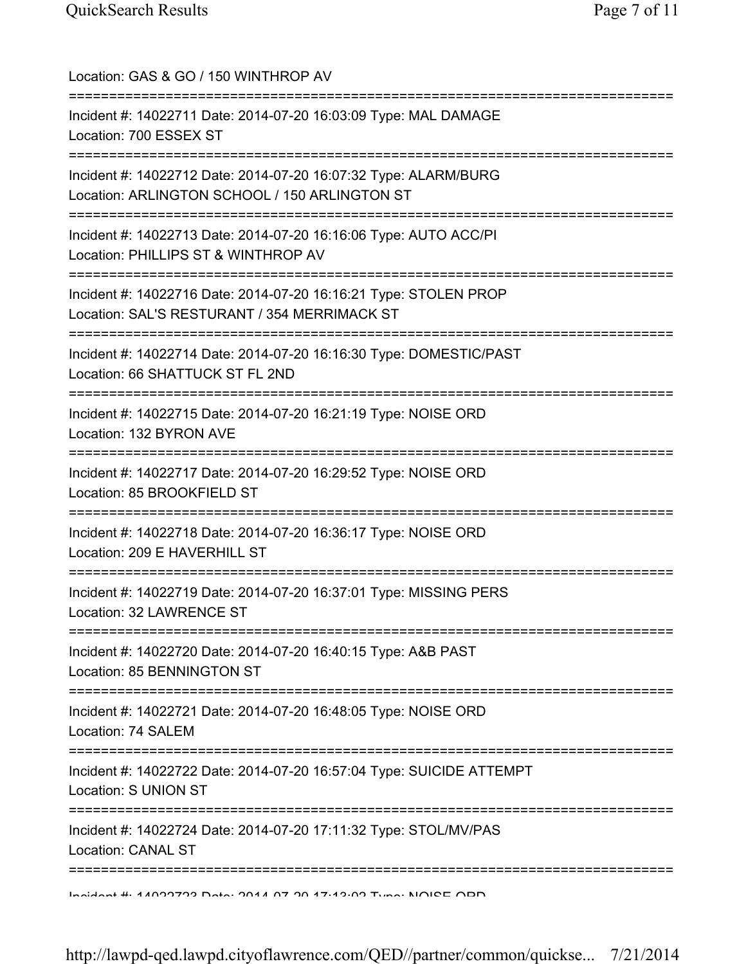| Location: GAS & GO / 150 WINTHROP AV<br>===============================                                                    |
|----------------------------------------------------------------------------------------------------------------------------|
| Incident #: 14022711 Date: 2014-07-20 16:03:09 Type: MAL DAMAGE<br>Location: 700 ESSEX ST                                  |
| Incident #: 14022712 Date: 2014-07-20 16:07:32 Type: ALARM/BURG<br>Location: ARLINGTON SCHOOL / 150 ARLINGTON ST           |
| Incident #: 14022713 Date: 2014-07-20 16:16:06 Type: AUTO ACC/PI<br>Location: PHILLIPS ST & WINTHROP AV                    |
| Incident #: 14022716 Date: 2014-07-20 16:16:21 Type: STOLEN PROP<br>Location: SAL'S RESTURANT / 354 MERRIMACK ST           |
| Incident #: 14022714 Date: 2014-07-20 16:16:30 Type: DOMESTIC/PAST<br>Location: 66 SHATTUCK ST FL 2ND<br>================= |
| ================<br>Incident #: 14022715 Date: 2014-07-20 16:21:19 Type: NOISE ORD<br>Location: 132 BYRON AVE              |
| Incident #: 14022717 Date: 2014-07-20 16:29:52 Type: NOISE ORD<br>Location: 85 BROOKFIELD ST                               |
| Incident #: 14022718 Date: 2014-07-20 16:36:17 Type: NOISE ORD<br>Location: 209 E HAVERHILL ST                             |
| Incident #: 14022719 Date: 2014-07-20 16:37:01 Type: MISSING PERS<br>Location: 32 LAWRENCE ST                              |
| Incident #: 14022720 Date: 2014-07-20 16:40:15 Type: A&B PAST<br>Location: 85 BENNINGTON ST                                |
| Incident #: 14022721 Date: 2014-07-20 16:48:05 Type: NOISE ORD<br>Location: 74 SALEM                                       |
| Incident #: 14022722 Date: 2014-07-20 16:57:04 Type: SUICIDE ATTEMPT<br>Location: S UNION ST                               |
| Incident #: 14022724 Date: 2014-07-20 17:11:32 Type: STOL/MV/PAS<br><b>Location: CANAL ST</b>                              |
| <u>Indiant #: 44007709 Data: 2044 07 20 47:49:00 Tuna: NIQIPE ODD</u>                                                      |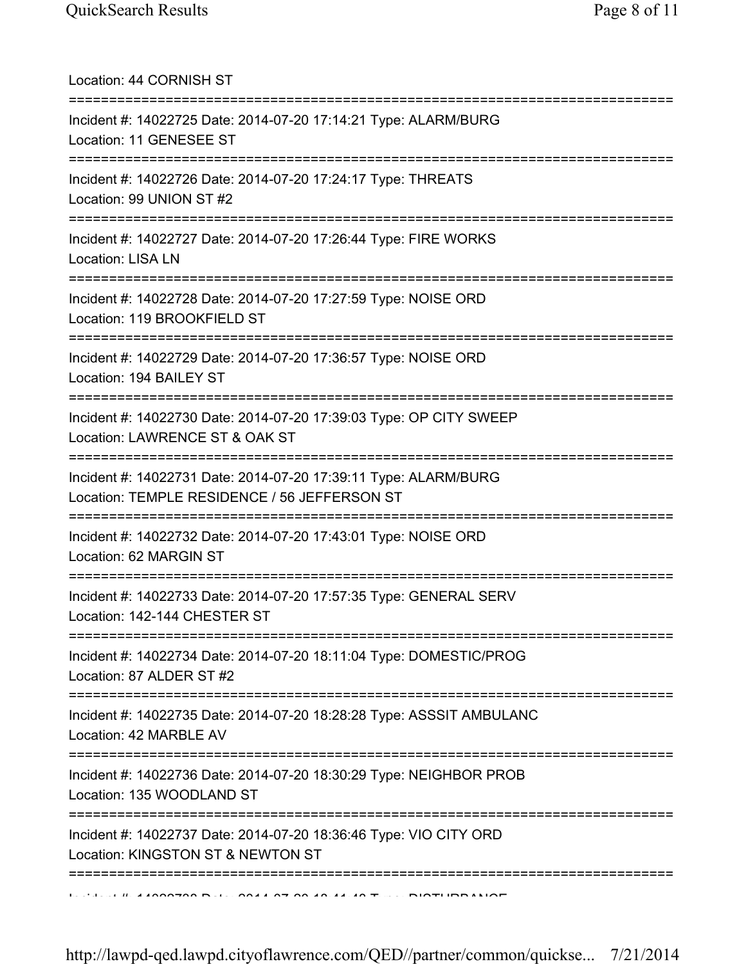Location: 44 CORNISH ST =========================================================================== Incident #: 14022725 Date: 2014-07-20 17:14:21 Type: ALARM/BURG Location: 11 GENESEE ST =========================================================================== Incident #: 14022726 Date: 2014-07-20 17:24:17 Type: THREATS Location: 99 UNION ST #2 =========================================================================== Incident #: 14022727 Date: 2014-07-20 17:26:44 Type: FIRE WORKS Location: LISA LN =========================================================================== Incident #: 14022728 Date: 2014-07-20 17:27:59 Type: NOISE ORD Location: 119 BROOKFIELD ST =========================================================================== Incident #: 14022729 Date: 2014-07-20 17:36:57 Type: NOISE ORD Location: 194 BAILEY ST =========================================================================== Incident #: 14022730 Date: 2014-07-20 17:39:03 Type: OP CITY SWEEP Location: LAWRENCE ST & OAK ST =========================================================================== Incident #: 14022731 Date: 2014-07-20 17:39:11 Type: ALARM/BURG Location: TEMPLE RESIDENCE / 56 JEFFERSON ST =========================================================================== Incident #: 14022732 Date: 2014-07-20 17:43:01 Type: NOISE ORD Location: 62 MARGIN ST =========================================================================== Incident #: 14022733 Date: 2014-07-20 17:57:35 Type: GENERAL SERV Location: 142-144 CHESTER ST =========================================================================== Incident #: 14022734 Date: 2014-07-20 18:11:04 Type: DOMESTIC/PROG Location: 87 ALDER ST #2 =========================================================================== Incident #: 14022735 Date: 2014-07-20 18:28:28 Type: ASSSIT AMBULANC Location: 42 MARBLE AV =========================================================================== Incident #: 14022736 Date: 2014-07-20 18:30:29 Type: NEIGHBOR PROB Location: 135 WOODLAND ST =========================================================================== Incident #: 14022737 Date: 2014-07-20 18:36:46 Type: VIO CITY ORD Location: KINGSTON ST & NEWTON ST =========================================================================== Incident #: 14022738 Date: 2014 07 20 18:41:48 Type: DISTURBANCE

http://lawpd-qed.lawpd.cityoflawrence.com/QED//partner/common/quickse... 7/21/2014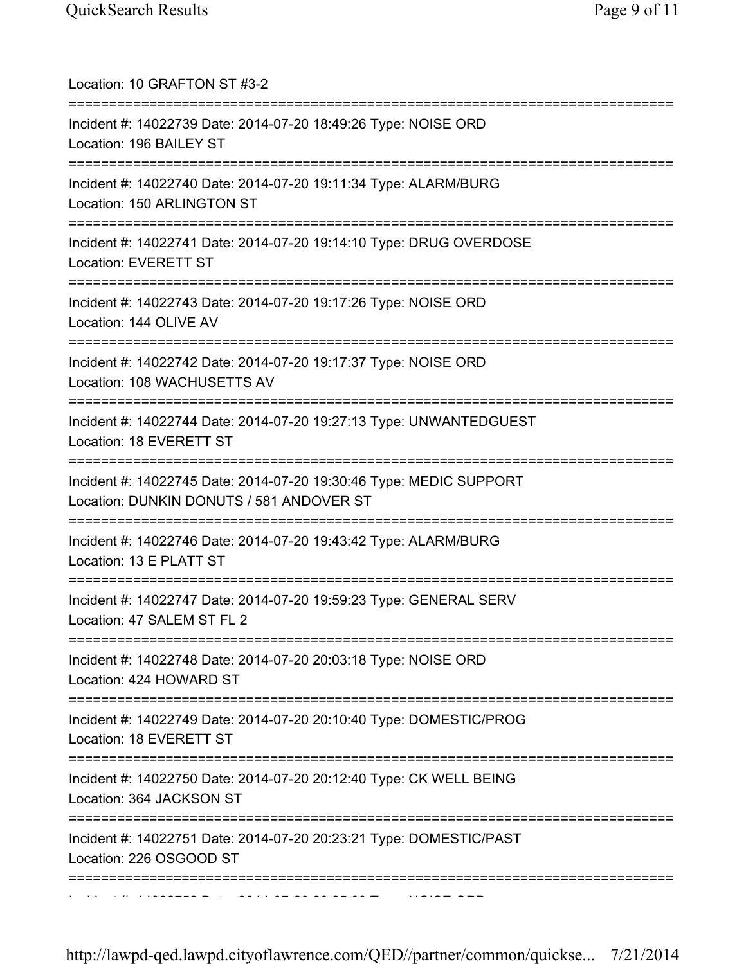| Location: 10 GRAFTON ST #3-2<br>=========================                                                                     |
|-------------------------------------------------------------------------------------------------------------------------------|
| Incident #: 14022739 Date: 2014-07-20 18:49:26 Type: NOISE ORD<br>Location: 196 BAILEY ST                                     |
| Incident #: 14022740 Date: 2014-07-20 19:11:34 Type: ALARM/BURG<br>Location: 150 ARLINGTON ST                                 |
| Incident #: 14022741 Date: 2014-07-20 19:14:10 Type: DRUG OVERDOSE<br>Location: EVERETT ST<br>=============================== |
| Incident #: 14022743 Date: 2014-07-20 19:17:26 Type: NOISE ORD<br>Location: 144 OLIVE AV                                      |
| Incident #: 14022742 Date: 2014-07-20 19:17:37 Type: NOISE ORD<br>Location: 108 WACHUSETTS AV                                 |
| Incident #: 14022744 Date: 2014-07-20 19:27:13 Type: UNWANTEDGUEST<br>Location: 18 EVERETT ST                                 |
| Incident #: 14022745 Date: 2014-07-20 19:30:46 Type: MEDIC SUPPORT<br>Location: DUNKIN DONUTS / 581 ANDOVER ST                |
| Incident #: 14022746 Date: 2014-07-20 19:43:42 Type: ALARM/BURG<br>Location: 13 E PLATT ST                                    |
| Incident #: 14022747 Date: 2014-07-20 19:59:23 Type: GENERAL SERV<br>Location: 47 SALEM ST FL 2                               |
| Incident #: 14022748 Date: 2014-07-20 20:03:18 Type: NOISE ORD<br>Location: 424 HOWARD ST                                     |
| Incident #: 14022749 Date: 2014-07-20 20:10:40 Type: DOMESTIC/PROG<br>Location: 18 EVERETT ST                                 |
| Incident #: 14022750 Date: 2014-07-20 20:12:40 Type: CK WELL BEING<br>Location: 364 JACKSON ST                                |
| Incident #: 14022751 Date: 2014-07-20 20:23:21 Type: DOMESTIC/PAST<br>Location: 226 OSGOOD ST                                 |
|                                                                                                                               |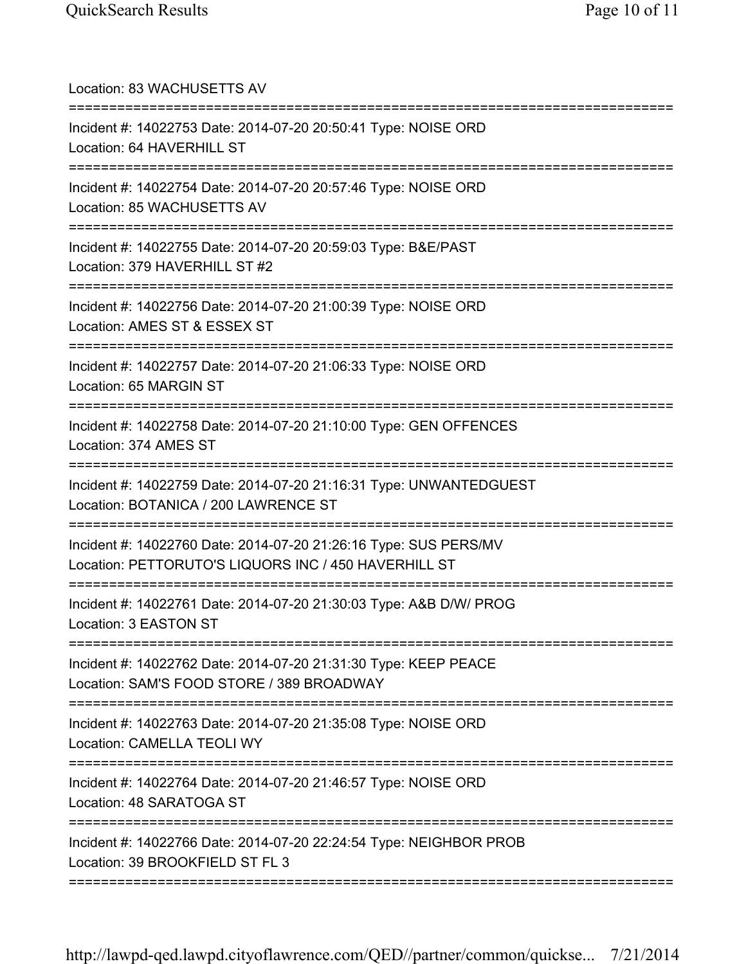| Location: 83 WACHUSETTS AV<br>=====================================                                                      |
|--------------------------------------------------------------------------------------------------------------------------|
| Incident #: 14022753 Date: 2014-07-20 20:50:41 Type: NOISE ORD<br>Location: 64 HAVERHILL ST                              |
| Incident #: 14022754 Date: 2014-07-20 20:57:46 Type: NOISE ORD<br>Location: 85 WACHUSETTS AV                             |
| Incident #: 14022755 Date: 2014-07-20 20:59:03 Type: B&E/PAST<br>Location: 379 HAVERHILL ST #2                           |
| Incident #: 14022756 Date: 2014-07-20 21:00:39 Type: NOISE ORD<br>Location: AMES ST & ESSEX ST                           |
| Incident #: 14022757 Date: 2014-07-20 21:06:33 Type: NOISE ORD<br>Location: 65 MARGIN ST                                 |
| Incident #: 14022758 Date: 2014-07-20 21:10:00 Type: GEN OFFENCES<br>Location: 374 AMES ST                               |
| Incident #: 14022759 Date: 2014-07-20 21:16:31 Type: UNWANTEDGUEST<br>Location: BOTANICA / 200 LAWRENCE ST               |
| Incident #: 14022760 Date: 2014-07-20 21:26:16 Type: SUS PERS/MV<br>Location: PETTORUTO'S LIQUORS INC / 450 HAVERHILL ST |
| Incident #: 14022761 Date: 2014-07-20 21:30:03 Type: A&B D/W/ PROG<br>Location: 3 EASTON ST                              |
| Incident #: 14022762 Date: 2014-07-20 21:31:30 Type: KEEP PEACE<br>Location: SAM'S FOOD STORE / 389 BROADWAY             |
| Incident #: 14022763 Date: 2014-07-20 21:35:08 Type: NOISE ORD<br>Location: CAMELLA TEOLI WY                             |
| Incident #: 14022764 Date: 2014-07-20 21:46:57 Type: NOISE ORD<br>Location: 48 SARATOGA ST                               |
| Incident #: 14022766 Date: 2014-07-20 22:24:54 Type: NEIGHBOR PROB<br>Location: 39 BROOKFIELD ST FL 3                    |
|                                                                                                                          |